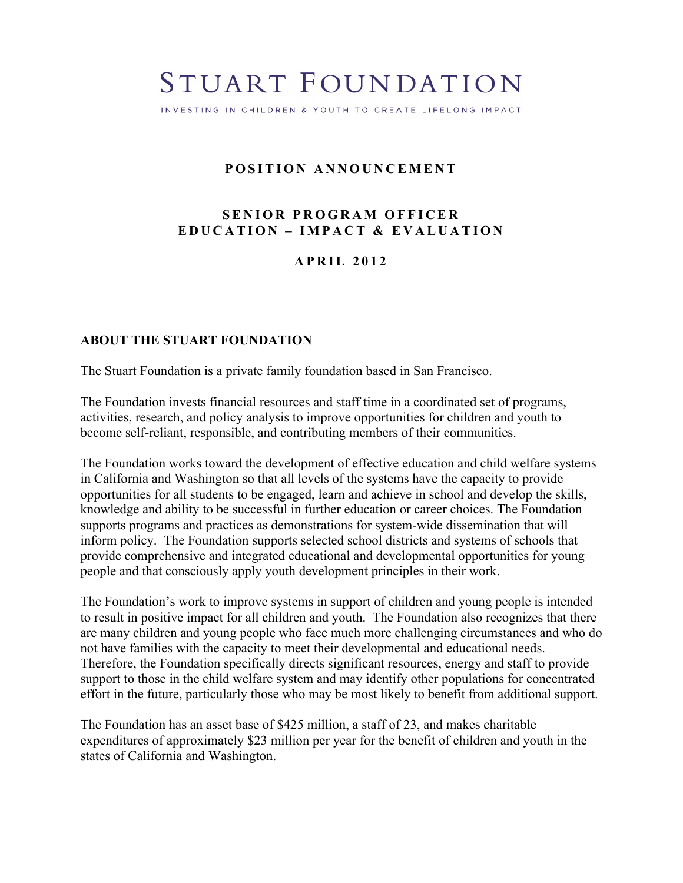# STUART FOUNDATION

INVESTING IN CHILDREN & YOUTH TO CREATE LIFELONG IMPACT

# **POSITION ANNOUNCEMENT**

## **SENIOR PROGRAM OFFICER EDUCATION – IMPACT & EVALUATION**

## **APRIL 2012**

## **ABOUT THE STUART FOUNDATION**

The Stuart Foundation is a private family foundation based in San Francisco.

The Foundation invests financial resources and staff time in a coordinated set of programs, activities, research, and policy analysis to improve opportunities for children and youth to become self-reliant, responsible, and contributing members of their communities.

The Foundation works toward the development of effective education and child welfare systems in California and Washington so that all levels of the systems have the capacity to provide opportunities for all students to be engaged, learn and achieve in school and develop the skills, knowledge and ability to be successful in further education or career choices. The Foundation supports programs and practices as demonstrations for system-wide dissemination that will inform policy. The Foundation supports selected school districts and systems of schools that provide comprehensive and integrated educational and developmental opportunities for young people and that consciously apply youth development principles in their work.

The Foundation's work to improve systems in support of children and young people is intended to result in positive impact for all children and youth. The Foundation also recognizes that there are many children and young people who face much more challenging circumstances and who do not have families with the capacity to meet their developmental and educational needs. Therefore, the Foundation specifically directs significant resources, energy and staff to provide support to those in the child welfare system and may identify other populations for concentrated effort in the future, particularly those who may be most likely to benefit from additional support.

The Foundation has an asset base of \$425 million, a staff of 23, and makes charitable expenditures of approximately \$23 million per year for the benefit of children and youth in the states of California and Washington.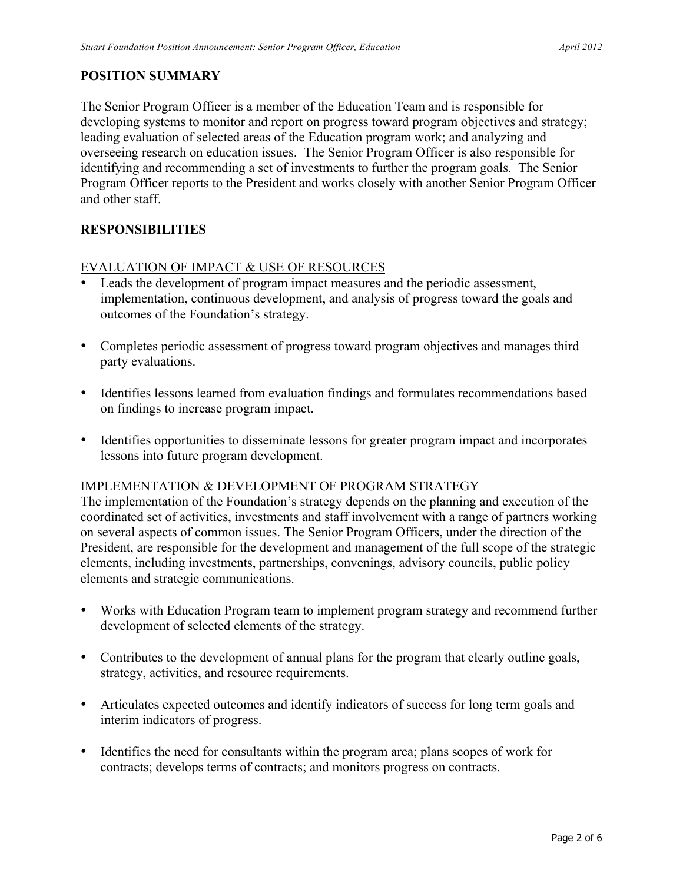# **POSITION SUMMARY**

The Senior Program Officer is a member of the Education Team and is responsible for developing systems to monitor and report on progress toward program objectives and strategy; leading evaluation of selected areas of the Education program work; and analyzing and overseeing research on education issues. The Senior Program Officer is also responsible for identifying and recommending a set of investments to further the program goals. The Senior Program Officer reports to the President and works closely with another Senior Program Officer and other staff.

## **RESPONSIBILITIES**

## EVALUATION OF IMPACT & USE OF RESOURCES

- Leads the development of program impact measures and the periodic assessment, implementation, continuous development, and analysis of progress toward the goals and outcomes of the Foundation's strategy.
- Completes periodic assessment of progress toward program objectives and manages third party evaluations.
- Identifies lessons learned from evaluation findings and formulates recommendations based on findings to increase program impact.
- Identifies opportunities to disseminate lessons for greater program impact and incorporates lessons into future program development.

## IMPLEMENTATION & DEVELOPMENT OF PROGRAM STRATEGY

The implementation of the Foundation's strategy depends on the planning and execution of the coordinated set of activities, investments and staff involvement with a range of partners working on several aspects of common issues. The Senior Program Officers, under the direction of the President, are responsible for the development and management of the full scope of the strategic elements, including investments, partnerships, convenings, advisory councils, public policy elements and strategic communications.

- Works with Education Program team to implement program strategy and recommend further development of selected elements of the strategy.
- Contributes to the development of annual plans for the program that clearly outline goals, strategy, activities, and resource requirements.
- Articulates expected outcomes and identify indicators of success for long term goals and interim indicators of progress.
- Identifies the need for consultants within the program area; plans scopes of work for contracts; develops terms of contracts; and monitors progress on contracts.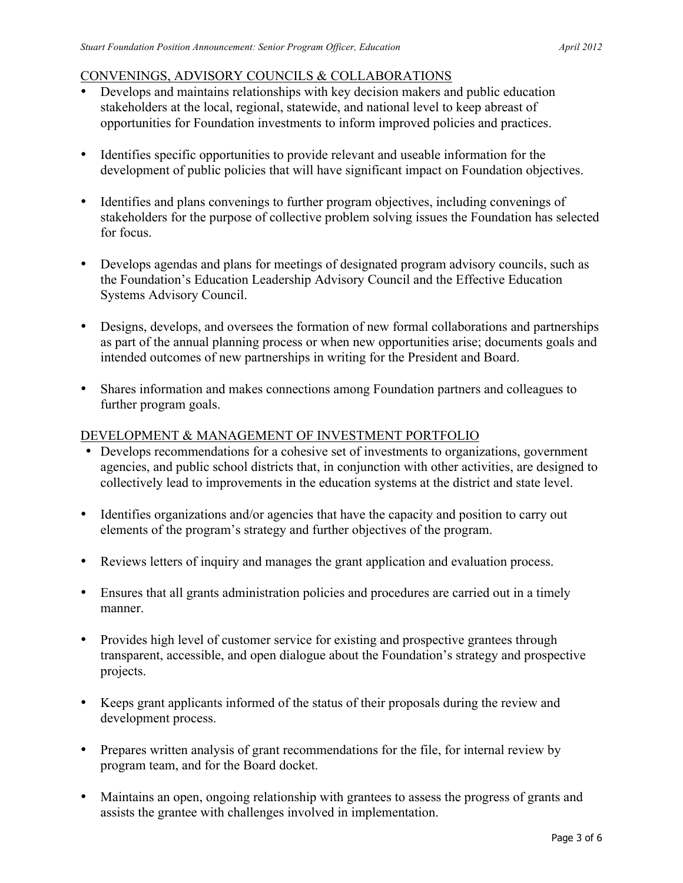# CONVENINGS, ADVISORY COUNCILS & COLLABORATIONS

- Develops and maintains relationships with key decision makers and public education stakeholders at the local, regional, statewide, and national level to keep abreast of opportunities for Foundation investments to inform improved policies and practices.
- Identifies specific opportunities to provide relevant and useable information for the development of public policies that will have significant impact on Foundation objectives.
- Identifies and plans convenings to further program objectives, including convenings of stakeholders for the purpose of collective problem solving issues the Foundation has selected for focus.
- Develops agendas and plans for meetings of designated program advisory councils, such as the Foundation's Education Leadership Advisory Council and the Effective Education Systems Advisory Council.
- Designs, develops, and oversees the formation of new formal collaborations and partnerships as part of the annual planning process or when new opportunities arise; documents goals and intended outcomes of new partnerships in writing for the President and Board.
- Shares information and makes connections among Foundation partners and colleagues to further program goals.

## DEVELOPMENT & MANAGEMENT OF INVESTMENT PORTFOLIO

- Develops recommendations for a cohesive set of investments to organizations, government agencies, and public school districts that, in conjunction with other activities, are designed to collectively lead to improvements in the education systems at the district and state level.
- Identifies organizations and/or agencies that have the capacity and position to carry out elements of the program's strategy and further objectives of the program.
- Reviews letters of inquiry and manages the grant application and evaluation process.
- Ensures that all grants administration policies and procedures are carried out in a timely manner.
- Provides high level of customer service for existing and prospective grantees through transparent, accessible, and open dialogue about the Foundation's strategy and prospective projects.
- Keeps grant applicants informed of the status of their proposals during the review and development process.
- Prepares written analysis of grant recommendations for the file, for internal review by program team, and for the Board docket.
- Maintains an open, ongoing relationship with grantees to assess the progress of grants and assists the grantee with challenges involved in implementation.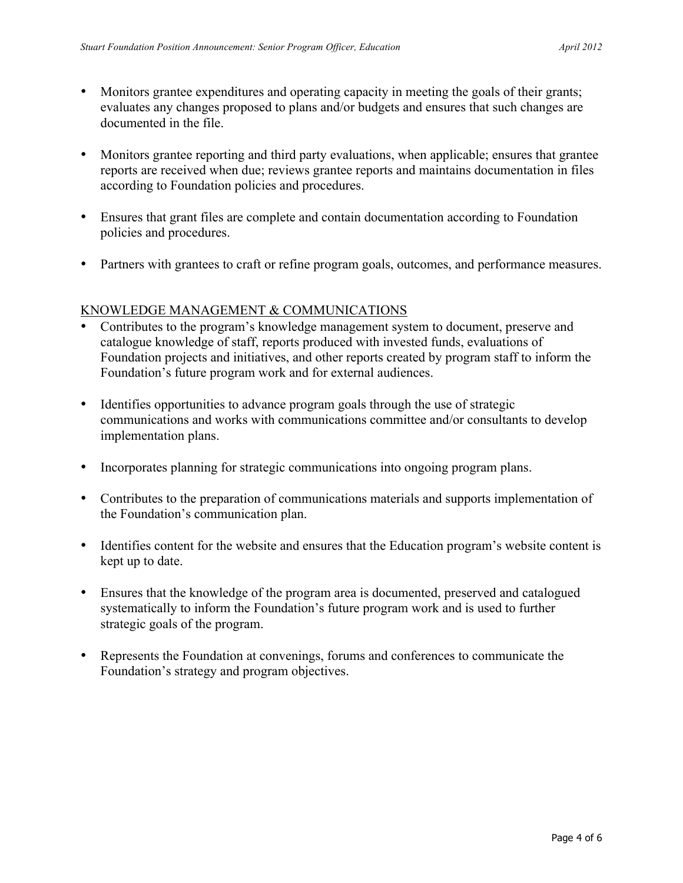- Monitors grantee expenditures and operating capacity in meeting the goals of their grants; evaluates any changes proposed to plans and/or budgets and ensures that such changes are documented in the file.
- Monitors grantee reporting and third party evaluations, when applicable; ensures that grantee reports are received when due; reviews grantee reports and maintains documentation in files according to Foundation policies and procedures.
- Ensures that grant files are complete and contain documentation according to Foundation policies and procedures.
- Partners with grantees to craft or refine program goals, outcomes, and performance measures.

## KNOWLEDGE MANAGEMENT & COMMUNICATIONS

- Contributes to the program's knowledge management system to document, preserve and catalogue knowledge of staff, reports produced with invested funds, evaluations of Foundation projects and initiatives, and other reports created by program staff to inform the Foundation's future program work and for external audiences.
- Identifies opportunities to advance program goals through the use of strategic communications and works with communications committee and/or consultants to develop implementation plans.
- Incorporates planning for strategic communications into ongoing program plans.
- Contributes to the preparation of communications materials and supports implementation of the Foundation's communication plan.
- Identifies content for the website and ensures that the Education program's website content is kept up to date.
- Ensures that the knowledge of the program area is documented, preserved and catalogued systematically to inform the Foundation's future program work and is used to further strategic goals of the program.
- Represents the Foundation at convenings, forums and conferences to communicate the Foundation's strategy and program objectives.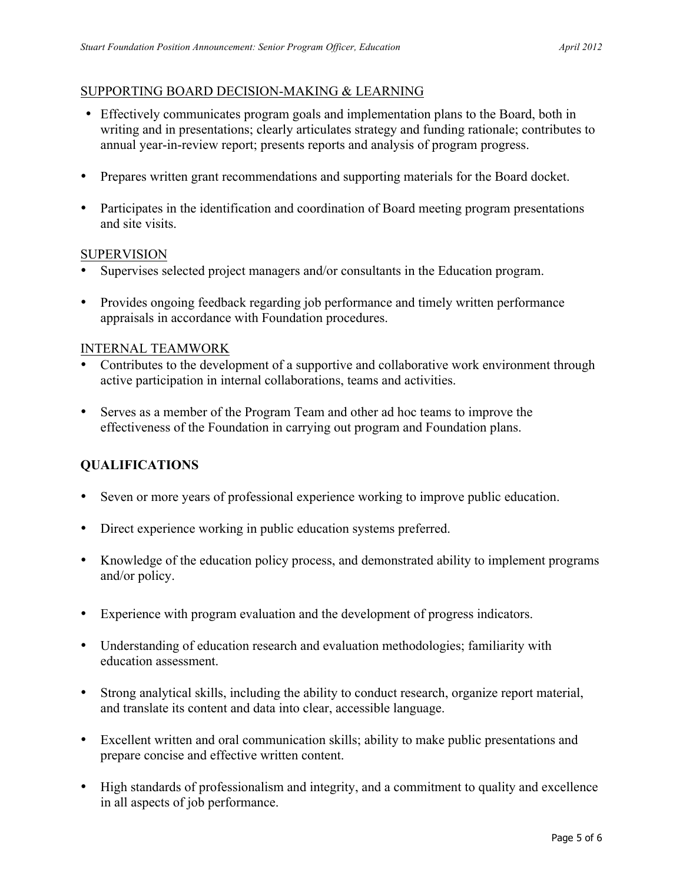## SUPPORTING BOARD DECISION-MAKING & LEARNING

- Effectively communicates program goals and implementation plans to the Board, both in writing and in presentations; clearly articulates strategy and funding rationale; contributes to annual year-in-review report; presents reports and analysis of program progress.
- Prepares written grant recommendations and supporting materials for the Board docket.
- Participates in the identification and coordination of Board meeting program presentations and site visits.

#### **SUPERVISION**

- Supervises selected project managers and/or consultants in the Education program.
- Provides ongoing feedback regarding job performance and timely written performance appraisals in accordance with Foundation procedures.

#### INTERNAL TEAMWORK

- Contributes to the development of a supportive and collaborative work environment through active participation in internal collaborations, teams and activities.
- Serves as a member of the Program Team and other ad hoc teams to improve the effectiveness of the Foundation in carrying out program and Foundation plans.

## **QUALIFICATIONS**

- Seven or more years of professional experience working to improve public education.
- Direct experience working in public education systems preferred.
- Knowledge of the education policy process, and demonstrated ability to implement programs and/or policy.
- Experience with program evaluation and the development of progress indicators.
- Understanding of education research and evaluation methodologies; familiarity with education assessment.
- Strong analytical skills, including the ability to conduct research, organize report material, and translate its content and data into clear, accessible language.
- Excellent written and oral communication skills; ability to make public presentations and prepare concise and effective written content.
- High standards of professionalism and integrity, and a commitment to quality and excellence in all aspects of job performance.